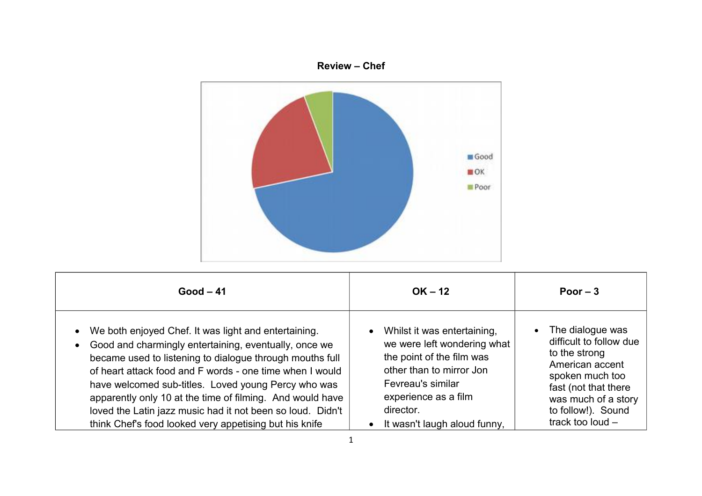

| $Good - 41$                                                                                                                                                                                                                                                                                                                                                                                                                                                                       | $OK - 12$                                                                                                                                                                                                       | Poor $-3$                                                                                                                                                                                   |
|-----------------------------------------------------------------------------------------------------------------------------------------------------------------------------------------------------------------------------------------------------------------------------------------------------------------------------------------------------------------------------------------------------------------------------------------------------------------------------------|-----------------------------------------------------------------------------------------------------------------------------------------------------------------------------------------------------------------|---------------------------------------------------------------------------------------------------------------------------------------------------------------------------------------------|
| We both enjoyed Chef. It was light and entertaining.<br>Good and charmingly entertaining, eventually, once we<br>became used to listening to dialogue through mouths full<br>of heart attack food and F words - one time when I would<br>have welcomed sub-titles. Loved young Percy who was<br>apparently only 10 at the time of filming. And would have<br>loved the Latin jazz music had it not been so loud. Didn't<br>think Chef's food looked very appetising but his knife | • Whilst it was entertaining,<br>we were left wondering what<br>the point of the film was<br>other than to mirror Jon<br>Fevreau's similar<br>experience as a film<br>director.<br>It wasn't laugh aloud funny, | The dialogue was<br>difficult to follow due<br>to the strong<br>American accent<br>spoken much too<br>fast (not that there<br>was much of a story<br>to follow!). Sound<br>track too loud - |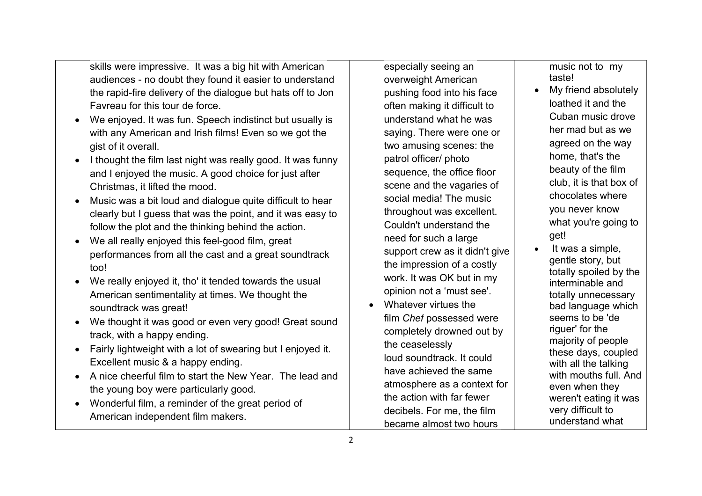skills were impressive. It was a big hit with American audiences - no doubt they found it easier to understand the rapid-fire delivery of the dialogue but hats off to Jon Favreau for this tour de force.

- We enjoyed. It was fun. Speech indistinct but usually is with any American and Irish films! Even so we got the gist of it overall.
- I thought the film last night was really good. It was funny and I enjoyed the music. A good choice for just after Christmas, it lifted the mood.
- Music was a bit loud and dialogue quite difficult to hear clearly but I guess that was the point, and it was easy to follow the plot and the thinking behind the action.
- We all really enjoyed this feel-good film, great performances from all the cast and a great soundtrack too!
- We really enjoyed it, tho' it tended towards the usual American sentimentality at times. We thought the soundtrack was great!
- We thought it was good or even very good! Great sound track, with a happy ending.
- Fairly lightweight with a lot of swearing but I enjoyed it. Excellent music & a happy ending.
- A nice cheerful film to start the New Year. The lead and the young boy were particularly good.
- Wonderful film, a reminder of the great period of American independent film makers.

especially seeing an overweight American pushing food into his face often making it difficult to understand what he was saying. There were one or two amusing scenes: the patrol officer/ photo sequence, the office floor scene and the vagaries of social media! The music throughout was excellent. Couldn't understand the need for such a large support crew as it didn't give the impression of a costly work. It was OK but in my opinion not a 'must see'.

 Whatever virtues the film *Chef* possessed were completely drowned out by the ceaselessly loud soundtrack. It could have achieved the same atmosphere as a context for the action with far fewer decibels. For me, the film became almost two hours

music not to my taste!

- My friend absolutely loathed it and the Cuban music drove her mad but as we agreed on the way home, that's the beauty of the film club, it is that box of chocolates where you never know what you're going to get!
- It was a simple, gentle story, but totally spoiled by the interminable and totally unnecessary bad language which seems to be 'de riguer' for the majority of people these days, coupled with all the talking with mouths full. And even when they weren't eating it was very difficult to understand what